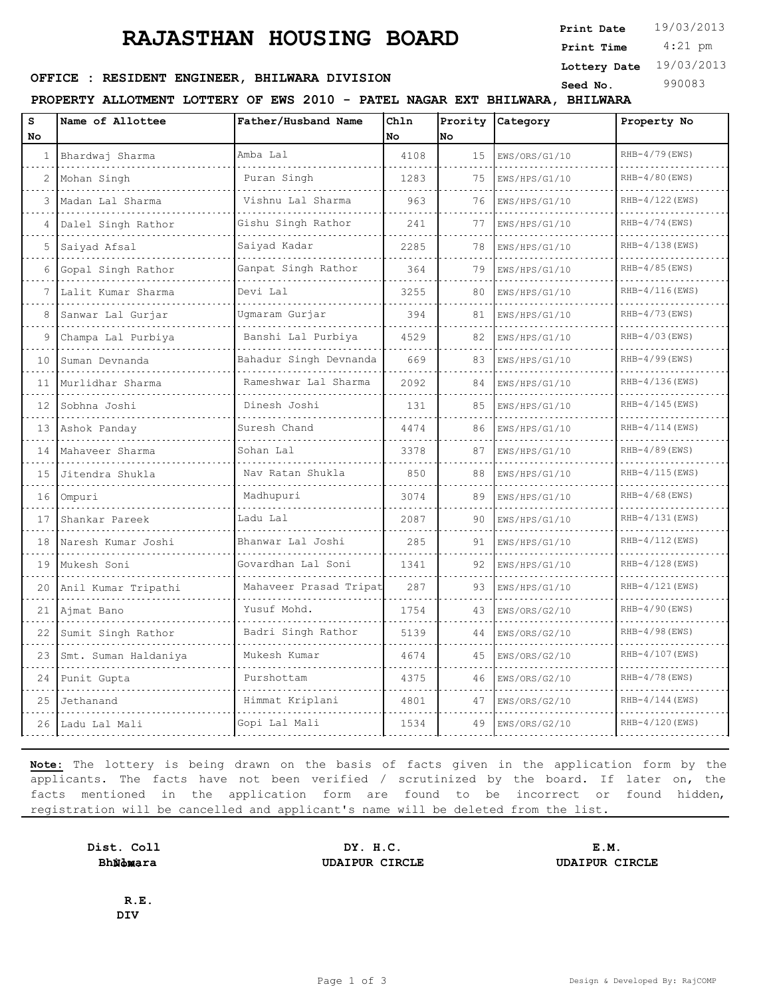# **RAJASTHAN HOUSING BOARD**

 4:21 pm **Print Date**  $19/03/2013$ **Print Time**

**Lottery Date** 19/03/2013

### **SEED OFFICE : RESIDENT ENGINEER, BHILWARA DIVISION Seed No.** 990083

**PROPERTY ALLOTMENT LOTTERY OF EWS 2010 - PATEL NAGAR EXT BHILWARA, BHILWARA**

| s  | Name of Allottee     | Father/Husband Name    | Ch1n | Prority | Category      | Property No       |
|----|----------------------|------------------------|------|---------|---------------|-------------------|
| No |                      |                        | No   | No      |               |                   |
| 1  | Bhardwaj Sharma      | Amba Lal               | 4108 | 15      | EWS/ORS/G1/10 | RHB-4/79 (EWS)    |
| 2  | Mohan Singh          | Puran Singh            | 1283 | 75      | EWS/HPS/G1/10 | $RHB-4/80$ (EWS)  |
| 3  | Madan Lal Sharma     | Vishnu Lal Sharma      | 963  | 76      | EWS/HPS/G1/10 | RHB-4/122 (EWS)   |
|    | Dalel Singh Rathor   | Gishu Singh Rathor     | 241  | 77      | EWS/HPS/G1/10 | $RHB-4/74$ (EWS)  |
| 5  | Saiyad Afsal         | Saiyad Kadar           | 2285 | 78      | EWS/HPS/G1/10 | RHB-4/138 (EWS)   |
| 6  | Gopal Singh Rathor   | Ganpat Singh Rathor    | 364  | 79      | EWS/HPS/G1/10 | RHB-4/85 (EWS)    |
|    | Lalit Kumar Sharma   | Devi Lal               | 3255 | 80      | EWS/HPS/G1/10 | RHB-4/116(EWS)    |
| 8  | Sanwar Lal Gurjar    | Uqmaram Gurjar         | 394  | 81      | EWS/HPS/G1/10 | RHB-4/73 (EWS)    |
| 9  | Champa Lal Purbiya   | Banshi Lal Purbiya     | 4529 | 82      | EWS/HPS/G1/10 | RHB-4/03 (EWS)    |
| 10 | Suman Devnanda       | Bahadur Singh Devnanda | 669  | 83      | EWS/HPS/G1/10 | RHB-4/99 (EWS)    |
| 11 | Murlidhar Sharma     | Rameshwar Lal Sharma   | 2092 | 84      | EWS/HPS/G1/10 | RHB-4/136 (EWS)   |
| 12 | Sobhna Joshi         | Dinesh Joshi           | 131  | 85      | EWS/HPS/G1/10 | RHB-4/145 (EWS)   |
| 13 | Ashok Panday         | Suresh Chand           | 4474 | 86      | EWS/HPS/G1/10 | $RHB-4/114$ (EWS) |
| 14 | Mahaveer Sharma      | Sohan Lal              | 3378 | 87      | EWS/HPS/G1/10 | RHB-4/89 (EWS)    |
| 15 | Jitendra Shukla      | Nav Ratan Shukla       | 850  | 88      | EWS/HPS/G1/10 | RHB-4/115 (EWS)   |
| 16 | Ompuri               | Madhupuri              | 3074 | 89      | EWS/HPS/G1/10 | $RHB-4/68$ (EWS)  |
| 17 | Shankar Pareek       | Ladu Lal               | 2087 | 90      | EWS/HPS/G1/10 | RHB-4/131 (EWS)   |
| 18 | Naresh Kumar Joshi   | Bhanwar Lal Joshi      | 285  | 91      | EWS/HPS/G1/10 | RHB-4/112 (EWS)   |
| 19 | Mukesh Soni          | Govardhan Lal Soni     | 1341 | 92      | EWS/HPS/G1/10 | RHB-4/128 (EWS)   |
| 20 | Anil Kumar Tripathi  | Mahaveer Prasad Tripat | 287  | 93      | EWS/HPS/G1/10 | RHB-4/121 (EWS)   |
| 21 | Ajmat Bano           | Yusuf Mohd.            | 1754 | 43      | EWS/ORS/G2/10 | RHB-4/90 (EWS)    |
| 22 | Sumit Singh Rathor   | Badri Singh Rathor     | 5139 | 44      | EWS/ORS/G2/10 | RHB-4/98 (EWS)    |
| 23 | Smt. Suman Haldaniya | Mukesh Kumar           | 4674 | 45      | EWS/ORS/G2/10 | RHB-4/107 (EWS)   |
| 24 | Punit Gupta          | Purshottam             | 4375 | 46      | EWS/ORS/G2/10 | RHB-4/78 (EWS)    |
| 25 | Jethanand            | Himmat Kriplani        | 4801 | 47      | EWS/ORS/G2/10 | $RHB-4/144$ (EWS) |
| 26 | Ladu Lal Mali        | Gopi Lal Mali          | 1534 | 49      | EWS/ORS/G2/10 | RHB-4/120 (EWS)   |

**Note:** The lottery is being drawn on the basis of facts given in the application form by the applicants. The facts have not been verified / scrutinized by the board. If later on, the facts mentioned in the application form are found to be incorrect or found hidden, registration will be cancelled and applicant's name will be deleted from the list.

**Dist. Coll BhNdmara** 

**DY. H.C. E.M. Bhilwara UDAIPUR CIRCLE UDAIPUR CIRCLE**

**R.E. DIV**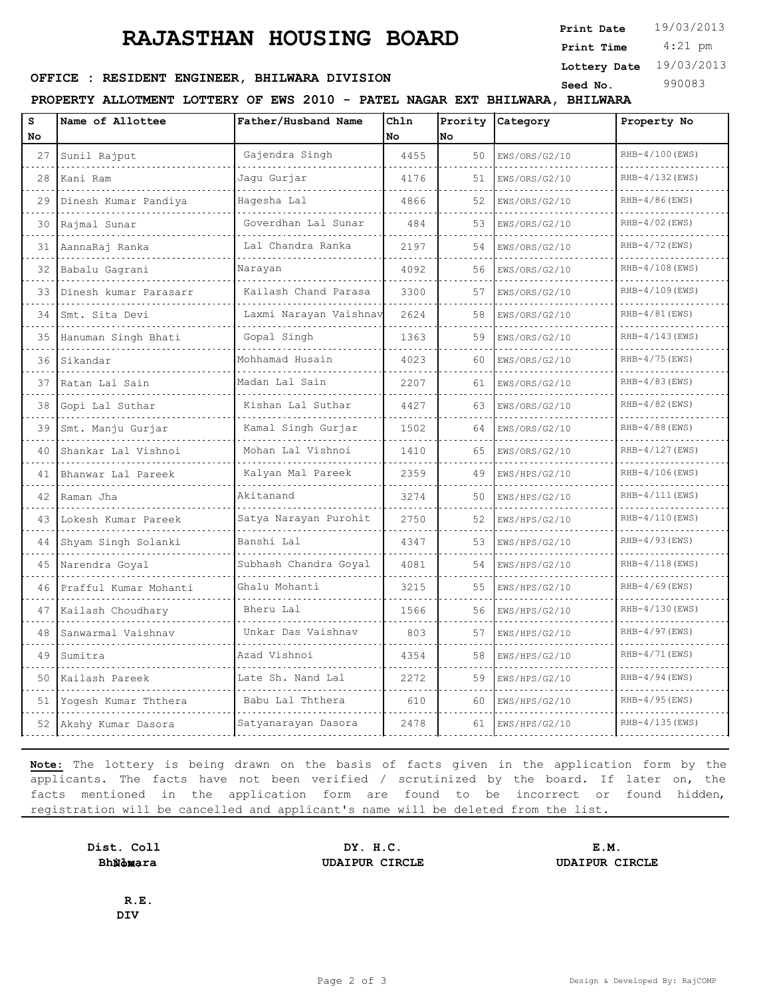# **RAJASTHAN HOUSING BOARD**

 4:21 pm **Print Date**  $19/03/2013$ **Print Time**

**Lottery Date** 19/03/2013

### **SEED OFFICE : RESIDENT ENGINEER, BHILWARA DIVISION Seed No.** 990083

**PROPERTY ALLOTMENT LOTTERY OF EWS 2010 - PATEL NAGAR EXT BHILWARA, BHILWARA**

| s<br>No | Name of Allottee                             | Father/Husband Name        | Chln<br>No | Prority<br>No. | Category      | Property No          |
|---------|----------------------------------------------|----------------------------|------------|----------------|---------------|----------------------|
| 27      | Sunil Rajput                                 | Gajendra Singh             | 4455       | 50             | EWS/ORS/G2/10 | RHB-4/100 (EWS)      |
| 28      | Kani Ram                                     | Jagu Gurjar                | 4176       | 51             | EWS/ORS/G2/10 | .<br>RHB-4/132 (EWS) |
| 29      | Dinesh Kumar Pandiya                         | Hagesha Lal                | 4866       | 52             | EWS/ORS/G2/10 | RHB-4/86(EWS)        |
| 30      | Rajmal Sunar                                 | Goverdhan Lal Sunar        | 484        | 53             | EWS/ORS/G2/10 | $RHB-4/02$ (EWS)     |
| 31      | AannaRaj Ranka                               | .<br>Lal Chandra Ranka     | 2197       | 54             | EWS/ORS/G2/10 | $RHB-4/72$ (EWS)     |
| 32      | Babalu Gagrani                               | Narayan                    | 4092       | 56             | EWS/ORS/G2/10 | RHB-4/108 (EWS)      |
| 33      | Dinesh kumar Parasarr                        | Kailash Chand Parasa       | 3300       | 57             | EWS/ORS/G2/10 | RHB-4/109 (EWS)      |
| 34      | Smt. Sita Devi                               | Laxmi Narayan Vaishnav     | 2624       | 58             | EWS/ORS/G2/10 | $RHB-4/81$ (EWS)     |
| 35      | Hanuman Singh Bhati                          | Gopal Singh                | 1363       | 59             | EWS/ORS/G2/10 | $RHB-4/143$ (EWS)    |
| 36      | Sikandar                                     | Mohhamad Husain            | 4023       | 60             | EWS/ORS/G2/10 | RHB-4/75 (EWS)       |
| 37      | Ratan Lal Sain                               | Madan Lal Sain             | 2207       | 61             | EWS/ORS/G2/10 | $RHB-4/83$ (EWS)     |
| 38      | Gopi Lal Suthar                              | Kishan Lal Suthar          | 4427       | 63             | EWS/ORS/G2/10 | RHB-4/82 (EWS)       |
| 39      | Smt. Manju Gurjar                            | Kamal Singh Gurjar         | 1502       | 64             | EWS/ORS/G2/10 | RHB-4/88 (EWS)       |
| 40      | Shankar Lal Vishnoi                          | Mohan Lal Vishnoi          | 1410       | 65             | EWS/ORS/G2/10 | RHB-4/127 (EWS)      |
| 41      | Bhanwar Lal Pareek                           | Kalyan Mal Pareek          | 2359       | 49             | EWS/HPS/G2/10 | RHB-4/106 (EWS)      |
| 42      | Raman Jha                                    | Akitanand                  | 3274       | 50             | EWS/HPS/G2/10 | RHB-4/111 (EWS)      |
| 43      | Lokesh Kumar Pareek<br>dia dia dia dia dia . | Satya Narayan Purohit      | 2750       | 52             | EWS/HPS/G2/10 | $RHB-4/110$ (EWS)    |
| 44      | Shyam Singh Solanki                          | Banshi Lal                 | 4347       | 53             | EWS/HPS/G2/10 | RHB-4/93 (EWS)       |
| 45      | Narendra Goyal                               | Subhash Chandra Goyal<br>. | 4081       | 54             | EWS/HPS/G2/10 | RHB-4/118 (EWS)      |
| 46      | Prafful Kumar Mohanti                        | Ghalu Mohanti              | 3215       | 55             | EWS/HPS/G2/10 | $RHB-4/69$ (EWS)     |
| 47      | Kailash Choudhary                            | Bheru Lal                  | 1566       | 56             | EWS/HPS/G2/10 | RHB-4/130 (EWS)      |
| 48      | Sanwarmal Vaishnav                           | Unkar Das Vaishnav         | 803        | 57             | EWS/HPS/G2/10 | RHB-4/97 (EWS)       |
| 49      | Sumitra                                      | Azad Vishnoi               | 4354       | 58             | EWS/HPS/G2/10 | $RHB-4/71$ (EWS)     |
| 50      | Kailash Pareek                               | Late Sh. Nand Lal          | 2272       | 59             | EWS/HPS/G2/10 | $RHB-4/94$ (EWS)     |
| 51      | Yogesh Kumar Ththera                         | Babu Lal Ththera<br>.      | 610        | 60             | EWS/HPS/G2/10 | RHB-4/95 (EWS)       |
|         | 52 Akshy Kumar Dasora                        | Satyanarayan Dasora        | 2478       | 61             | EWS/HPS/G2/10 | $RHB-4/135$ (EWS)    |

**Note:** The lottery is being drawn on the basis of facts given in the application form by the applicants. The facts have not been verified / scrutinized by the board. If later on, the facts mentioned in the application form are found to be incorrect or found hidden, registration will be cancelled and applicant's name will be deleted from the list.

**Dist. Coll BhNdmara** 

**DY. H.C. E.M. Bhilwara UDAIPUR CIRCLE UDAIPUR CIRCLE**

**R.E. DIV**